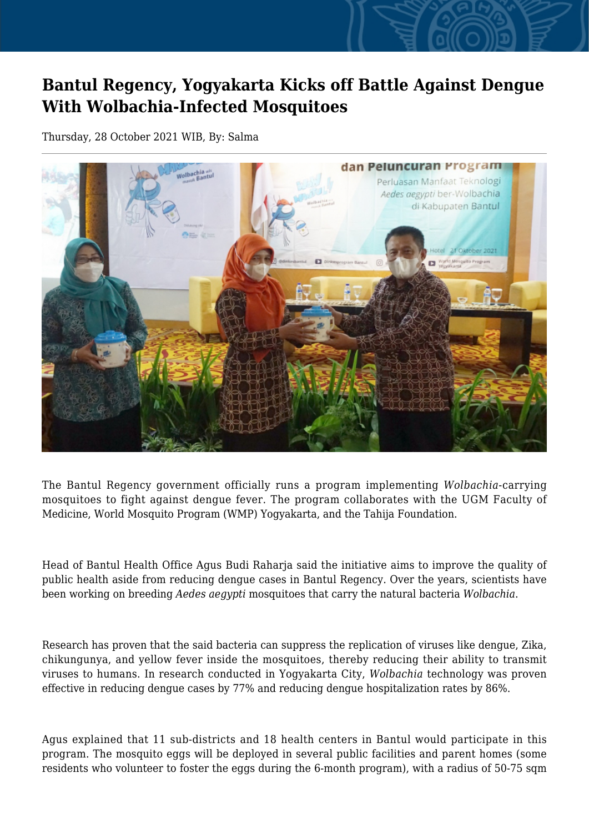## **Bantul Regency, Yogyakarta Kicks off Battle Against Dengue With Wolbachia-Infected Mosquitoes**

Thursday, 28 October 2021 WIB, By: Salma



The Bantul Regency government officially runs a program implementing *Wolbachia*-carrying mosquitoes to fight against dengue fever. The program collaborates with the UGM Faculty of Medicine, World Mosquito Program (WMP) Yogyakarta, and the Tahija Foundation.

Head of Bantul Health Office Agus Budi Raharja said the initiative aims to improve the quality of public health aside from reducing dengue cases in Bantul Regency. Over the years, scientists have been working on breeding *Aedes aegypti* mosquitoes that carry the natural bacteria *Wolbachia*.

Research has proven that the said bacteria can suppress the replication of viruses like dengue, Zika, chikungunya, and yellow fever inside the mosquitoes, thereby reducing their ability to transmit viruses to humans. In research conducted in Yogyakarta City, *Wolbachia* technology was proven effective in reducing dengue cases by 77% and reducing dengue hospitalization rates by 86%.

Agus explained that 11 sub-districts and 18 health centers in Bantul would participate in this program. The mosquito eggs will be deployed in several public facilities and parent homes (some residents who volunteer to foster the eggs during the 6-month program), with a radius of 50-75 sqm